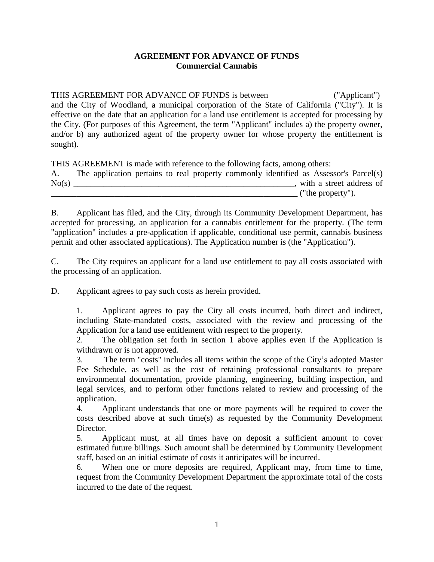## **AGREEMENT FOR ADVANCE OF FUNDS Commercial Cannabis**

THIS AGREEMENT FOR ADVANCE OF FUNDS is between ("Applicant") and the City of Woodland, a municipal corporation of the State of California ("City"). It is effective on the date that an application for a land use entitlement is accepted for processing by the City. (For purposes of this Agreement, the term "Applicant" includes a) the property owner, and/or b) any authorized agent of the property owner for whose property the entitlement is sought).

THIS AGREEMENT is made with reference to the following facts, among others:

| A.    | The application pertains to real property commonly identified as Assessor's Parcel(s) |  |  |  |                   |                          |
|-------|---------------------------------------------------------------------------------------|--|--|--|-------------------|--------------------------|
| No(s) |                                                                                       |  |  |  |                   | with a street address of |
|       |                                                                                       |  |  |  | ("the property"). |                          |

B. Applicant has filed, and the City, through its Community Development Department, has accepted for processing, an application for a cannabis entitlement for the property. (The term "application" includes a pre-application if applicable, conditional use permit, cannabis business permit and other associated applications). The Application number is (the "Application").

C. The City requires an applicant for a land use entitlement to pay all costs associated with the processing of an application.

D. Applicant agrees to pay such costs as herein provided.

1. Applicant agrees to pay the City all costs incurred, both direct and indirect, including State-mandated costs, associated with the review and processing of the Application for a land use entitlement with respect to the property.

2. The obligation set forth in section 1 above applies even if the Application is withdrawn or is not approved.

3. The term "costs" includes all items within the scope of the City's adopted Master Fee Schedule, as well as the cost of retaining professional consultants to prepare environmental documentation, provide planning, engineering, building inspection, and legal services, and to perform other functions related to review and processing of the application.

4. Applicant understands that one or more payments will be required to cover the costs described above at such time(s) as requested by the Community Development Director.

5. Applicant must, at all times have on deposit a sufficient amount to cover estimated future billings. Such amount shall be determined by Community Development staff, based on an initial estimate of costs it anticipates will be incurred.

6. When one or more deposits are required, Applicant may, from time to time, request from the Community Development Department the approximate total of the costs incurred to the date of the request.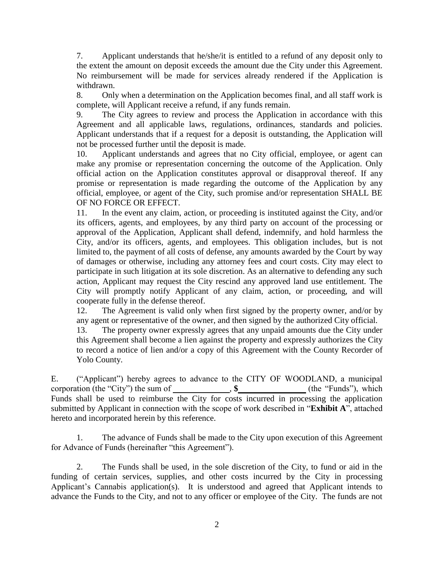7. Applicant understands that he/she/it is entitled to a refund of any deposit only to the extent the amount on deposit exceeds the amount due the City under this Agreement. No reimbursement will be made for services already rendered if the Application is withdrawn.

8. Only when a determination on the Application becomes final, and all staff work is complete, will Applicant receive a refund, if any funds remain.

9. The City agrees to review and process the Application in accordance with this Agreement and all applicable laws, regulations, ordinances, standards and policies. Applicant understands that if a request for a deposit is outstanding, the Application will not be processed further until the deposit is made.

10. Applicant understands and agrees that no City official, employee, or agent can make any promise or representation concerning the outcome of the Application. Only official action on the Application constitutes approval or disapproval thereof. If any promise or representation is made regarding the outcome of the Application by any official, employee, or agent of the City, such promise and/or representation SHALL BE OF NO FORCE OR EFFECT.

11. In the event any claim, action, or proceeding is instituted against the City, and/or its officers, agents, and employees, by any third party on account of the processing or approval of the Application, Applicant shall defend, indemnify, and hold harmless the City, and/or its officers, agents, and employees. This obligation includes, but is not limited to, the payment of all costs of defense, any amounts awarded by the Court by way of damages or otherwise, including any attorney fees and court costs. City may elect to participate in such litigation at its sole discretion. As an alternative to defending any such action, Applicant may request the City rescind any approved land use entitlement. The City will promptly notify Applicant of any claim, action, or proceeding, and will cooperate fully in the defense thereof.

12. The Agreement is valid only when first signed by the property owner, and/or by any agent or representative of the owner, and then signed by the authorized City official.

13. The property owner expressly agrees that any unpaid amounts due the City under this Agreement shall become a lien against the property and expressly authorizes the City to record a notice of lien and/or a copy of this Agreement with the County Recorder of Yolo County.

E. ("Applicant") hereby agrees to advance to the CITY OF WOODLAND, a municipal corporation (the "City") the sum of , \$ (the "Funds"), which Funds shall be used to reimburse the City for costs incurred in processing the application submitted by Applicant in connection with the scope of work described in "**Exhibit A**", attached hereto and incorporated herein by this reference.

1. The advance of Funds shall be made to the City upon execution of this Agreement for Advance of Funds (hereinafter "this Agreement").

2. The Funds shall be used, in the sole discretion of the City, to fund or aid in the funding of certain services, supplies, and other costs incurred by the City in processing Applicant's Cannabis application(s). It is understood and agreed that Applicant intends to advance the Funds to the City, and not to any officer or employee of the City. The funds are not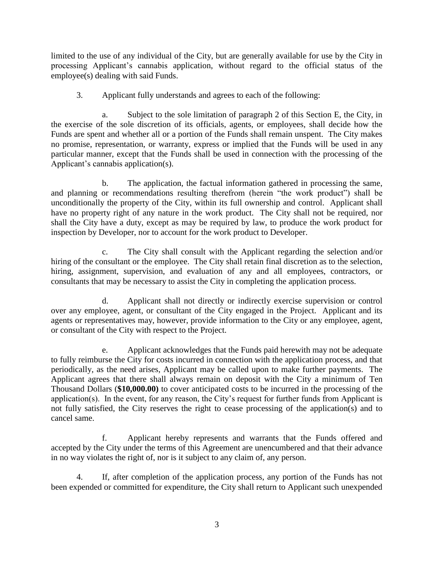limited to the use of any individual of the City, but are generally available for use by the City in processing Applicant's cannabis application, without regard to the official status of the employee(s) dealing with said Funds.

3. Applicant fully understands and agrees to each of the following:

a. Subject to the sole limitation of paragraph 2 of this Section E, the City, in the exercise of the sole discretion of its officials, agents, or employees, shall decide how the Funds are spent and whether all or a portion of the Funds shall remain unspent. The City makes no promise, representation, or warranty, express or implied that the Funds will be used in any particular manner, except that the Funds shall be used in connection with the processing of the Applicant's cannabis application(s).

b. The application, the factual information gathered in processing the same, and planning or recommendations resulting therefrom (herein "the work product") shall be unconditionally the property of the City, within its full ownership and control. Applicant shall have no property right of any nature in the work product. The City shall not be required, nor shall the City have a duty, except as may be required by law, to produce the work product for inspection by Developer, nor to account for the work product to Developer.

c. The City shall consult with the Applicant regarding the selection and/or hiring of the consultant or the employee. The City shall retain final discretion as to the selection, hiring, assignment, supervision, and evaluation of any and all employees, contractors, or consultants that may be necessary to assist the City in completing the application process.

d. Applicant shall not directly or indirectly exercise supervision or control over any employee, agent, or consultant of the City engaged in the Project. Applicant and its agents or representatives may, however, provide information to the City or any employee, agent, or consultant of the City with respect to the Project.

e. Applicant acknowledges that the Funds paid herewith may not be adequate to fully reimburse the City for costs incurred in connection with the application process, and that periodically, as the need arises, Applicant may be called upon to make further payments. The Applicant agrees that there shall always remain on deposit with the City a minimum of Ten Thousand Dollars (**\$10,000.00)** to cover anticipated costs to be incurred in the processing of the application(s). In the event, for any reason, the City's request for further funds from Applicant is not fully satisfied, the City reserves the right to cease processing of the application(s) and to cancel same.

f. Applicant hereby represents and warrants that the Funds offered and accepted by the City under the terms of this Agreement are unencumbered and that their advance in no way violates the right of, nor is it subject to any claim of, any person.

4. If, after completion of the application process, any portion of the Funds has not been expended or committed for expenditure, the City shall return to Applicant such unexpended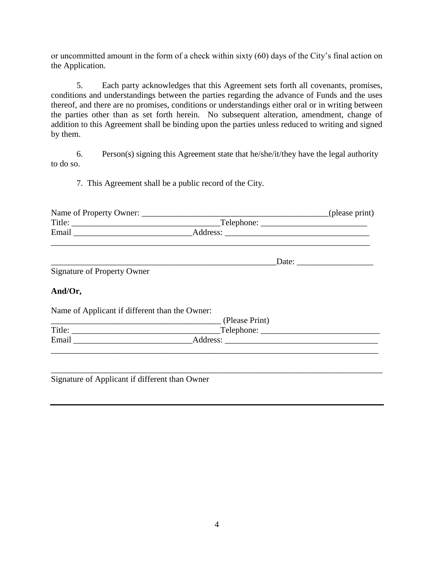or uncommitted amount in the form of a check within sixty (60) days of the City's final action on the Application.

5. Each party acknowledges that this Agreement sets forth all covenants, promises, conditions and understandings between the parties regarding the advance of Funds and the uses thereof, and there are no promises, conditions or understandings either oral or in writing between the parties other than as set forth herein. No subsequent alteration, amendment, change of addition to this Agreement shall be binding upon the parties unless reduced to writing and signed by them.

6. Person(s) signing this Agreement state that he/she/it/they have the legal authority to do so.

7. This Agreement shall be a public record of the City.

| Name of Property Owner: |            | (please print) |
|-------------------------|------------|----------------|
| Title:                  | Telephone: |                |
| Email                   | Address:   |                |
|                         |            |                |

|--|

Signature of Property Owner

## **And/Or,**

Name of Applicant if different than the Owner:

|        | (Please Print) |  |
|--------|----------------|--|
| Title: | Telephone:     |  |
| Email  | Address:       |  |

\_\_\_\_\_\_\_\_\_\_\_\_\_\_\_\_\_\_\_\_\_\_\_\_\_\_\_\_\_\_\_\_\_\_\_\_\_\_\_\_\_\_\_\_\_\_\_\_\_\_\_\_\_\_\_\_\_\_\_\_\_\_\_\_\_\_\_\_\_\_\_\_\_\_\_\_\_\_

Signature of Applicant if different than Owner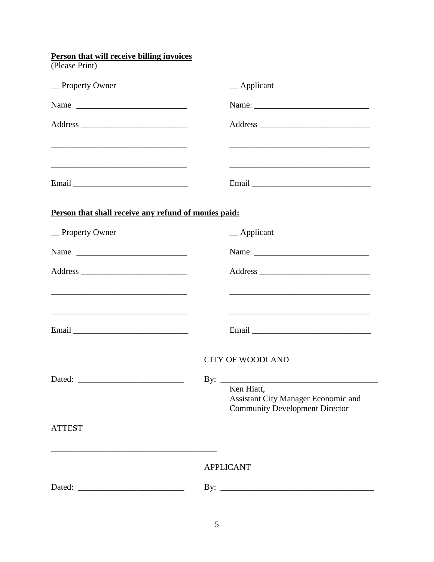| <b>Person that will receive billing invoices</b>                                                                                                                                                                                             |
|----------------------------------------------------------------------------------------------------------------------------------------------------------------------------------------------------------------------------------------------|
| $\equiv$ Applicant                                                                                                                                                                                                                           |
|                                                                                                                                                                                                                                              |
| Name:                                                                                                                                                                                                                                        |
|                                                                                                                                                                                                                                              |
| <u> 1989 - Johann John Stone, mars eta biztanleria (h. 1989).</u><br><u> 2000 - Jan Barat, margaret eta biztanleria (h. 1878).</u>                                                                                                           |
|                                                                                                                                                                                                                                              |
| Person that shall receive any refund of monies paid:                                                                                                                                                                                         |
| $\_\$ Applicant                                                                                                                                                                                                                              |
| Name                                                                                                                                                                                                                                         |
|                                                                                                                                                                                                                                              |
| <u> 1989 - Johann Barbara, marka a shekara tsa 1989 - An tsa 1989 - An tsa 1989 - An tsa 1989 - An tsa 1989 - An</u><br><u> 1989 - Johann Barbara, marka a shekara tsa 1989 - An tsa 1989 - An tsa 1989 - An tsa 1989 - An tsa 1989 - An</u> |
|                                                                                                                                                                                                                                              |
| <b>CITY OF WOODLAND</b>                                                                                                                                                                                                                      |
| Ken Hiatt,<br>Assistant City Manager Economic and<br><b>Community Development Director</b>                                                                                                                                                   |
|                                                                                                                                                                                                                                              |
| <b>APPLICANT</b>                                                                                                                                                                                                                             |
|                                                                                                                                                                                                                                              |
|                                                                                                                                                                                                                                              |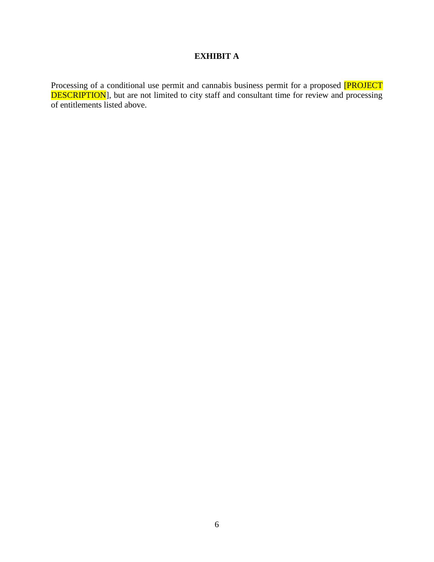## **EXHIBIT A**

Processing of a conditional use permit and cannabis business permit for a proposed **[PROJECT DESCRIPTION**], but are not limited to city staff and consultant time for review and processing of entitlements listed above.